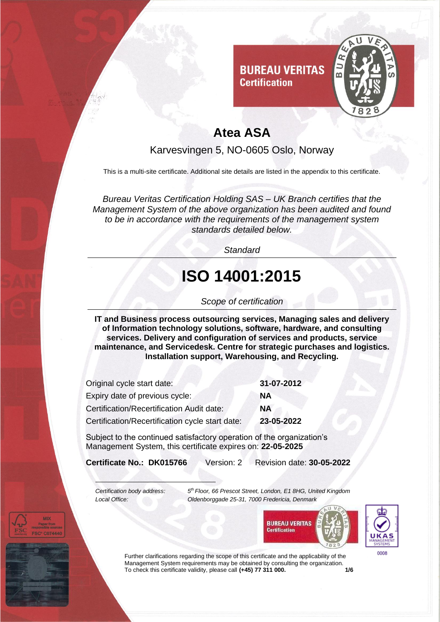

**Certification** 

Karvesvingen 5, NO-0605 Oslo, Norway

This is a multi-site certificate. Additional site details are listed in the appendix to this certificate.

*Bureau Veritas Certification Holding SAS – UK Branch certifies that the Management System of the above organization has been audited and found to be in accordance with the requirements of the management system standards detailed below.*

*Standard*

# **ISO 14001:2015**

#### *Scope of certification*

**IT and Business process outsourcing services, Managing sales and delivery of Information technology solutions, software, hardware, and consulting services. Delivery and configuration of services and products, service maintenance, and Servicedesk. Centre for strategic purchases and logistics. Installation support, Warehousing, and Recycling.** 

| Original cycle start date:                      | 31-07-2012 |
|-------------------------------------------------|------------|
| Expiry date of previous cycle:                  | <b>NA</b>  |
| Certification/Recertification Audit date:       | <b>NA</b>  |
| Certification/Recertification cycle start date: | 23-05-2022 |

Subject to the continued satisfactory operation of the organization's Management System, this certificate expires on: **22-05-2025**

**Certificate No.: DK015766** Version: 2 Revision date: **30-05-2022**

*Certification body address:* 

*th Floor, 66 Prescot Street, London, E1 8HG, United Kingdom Local Office: Oldenborggade 25-31, 7000 Fredericia, Denmark*





Further clarifications regarding the scope of this certificate and the applicability of the Management System requirements may be obtained by consulting the organization.<br>To check this certificate validity, please call (+45) 77 311 000. To check this certificate validity, please call (+45) 77 311 000.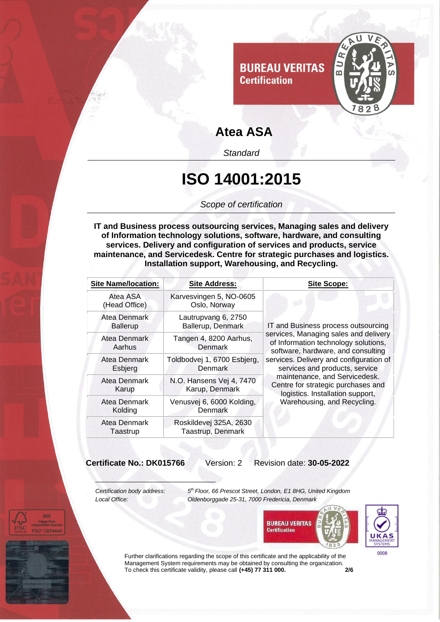

*Standard*

#### **ISO 14001:2015**

*Scope of certification*

**IT and Business process outsourcing services, Managing sales and delivery of Information technology solutions, software, hardware, and consulting services. Delivery and configuration of services and products, service maintenance, and Servicedesk. Centre for strategic purchases and logistics. Installation support, Warehousing, and Recycling.** 

| <b>Site Name/location:</b>      | <b>Site Address:</b>                          | <b>Site Scope:</b>                                                                                                                                                                                                                                                                                                                                                                |
|---------------------------------|-----------------------------------------------|-----------------------------------------------------------------------------------------------------------------------------------------------------------------------------------------------------------------------------------------------------------------------------------------------------------------------------------------------------------------------------------|
| Atea ASA<br>(Head Office)       | Karvesvingen 5, NO-0605<br>Oslo, Norway       | IT and Business process outsourcing<br>services, Managing sales and delivery<br>of Information technology solutions,<br>software, hardware, and consulting<br>services. Delivery and configuration of<br>services and products, service<br>maintenance, and Servicedesk.<br>Centre for strategic purchases and<br>logistics. Installation support,<br>Warehousing, and Recycling. |
| Atea Denmark<br><b>Ballerup</b> | Lautrupvang 6, 2750<br>Ballerup, Denmark      |                                                                                                                                                                                                                                                                                                                                                                                   |
| Atea Denmark<br>Aarhus          | Tangen 4, 8200 Aarhus,<br>Denmark             |                                                                                                                                                                                                                                                                                                                                                                                   |
| Atea Denmark<br>Esbjerg         | Toldbodvej 1, 6700 Esbjerg,<br><b>Denmark</b> |                                                                                                                                                                                                                                                                                                                                                                                   |
| Atea Denmark<br>Karup           | N.O. Hansens Vej 4, 7470<br>Karup, Denmark    |                                                                                                                                                                                                                                                                                                                                                                                   |
| Atea Denmark<br>Kolding         | Venusvej 6, 6000 Kolding,<br>Denmark          |                                                                                                                                                                                                                                                                                                                                                                                   |
| Atea Denmark<br>Taastrup        | Roskildevej 325A, 2630<br>Taastrup, Denmark   |                                                                                                                                                                                                                                                                                                                                                                                   |

**Certificate No.: DK015766** Version: 2 Revision date: **30-05-2022**

*Certification body address: 5*

*th Floor, 66 Prescot Street, London, E1 8HG, United Kingdom Local Office: Oldenborggade 25-31, 7000 Fredericia, Denmark*





Further clarifications regarding the scope of this certificate and the applicability of the Management System requirements may be obtained by consulting the organization. To check this certificate validity, please call **(+45) 77 311 000. 2/6**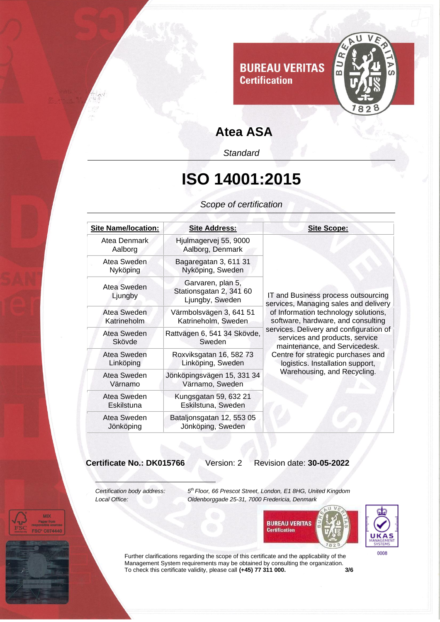

*Standard*

## **ISO 14001:2015**

*Scope of certification*

| <b>Site Name/location:</b> | <b>Site Address:</b>                                            | <b>Site Scope:</b>                                                                                                                                                                                                                                                                                                                                                                |
|----------------------------|-----------------------------------------------------------------|-----------------------------------------------------------------------------------------------------------------------------------------------------------------------------------------------------------------------------------------------------------------------------------------------------------------------------------------------------------------------------------|
| Atea Denmark<br>Aalborg    | Hjulmagervej 55, 9000<br>Aalborg, Denmark                       | IT and Business process outsourcing<br>services, Managing sales and delivery<br>of Information technology solutions,<br>software, hardware, and consulting<br>services. Delivery and configuration of<br>services and products, service<br>maintenance, and Servicedesk.<br>Centre for strategic purchases and<br>logistics. Installation support,<br>Warehousing, and Recycling. |
| Atea Sweden<br>Nyköping    | Bagaregatan 3, 611 31<br>Nyköping, Sweden                       |                                                                                                                                                                                                                                                                                                                                                                                   |
| Atea Sweden<br>Ljungby     | Garvaren, plan 5,<br>Stationsgatan 2, 341 60<br>Ljungby, Sweden |                                                                                                                                                                                                                                                                                                                                                                                   |
| Atea Sweden<br>Katrineholm | Värmbolsvägen 3, 641 51<br>Katrineholm, Sweden                  |                                                                                                                                                                                                                                                                                                                                                                                   |
| Atea Sweden<br>Skövde      | Rattvägen 6, 541 34 Skövde,<br>Sweden                           |                                                                                                                                                                                                                                                                                                                                                                                   |
| Atea Sweden<br>Linköping   | Roxviksgatan 16, 582 73<br>Linköping, Sweden                    |                                                                                                                                                                                                                                                                                                                                                                                   |
| Atea Sweden<br>Värnamo     | Jönköpingsvägen 15, 331 34<br>Värnamo, Sweden                   |                                                                                                                                                                                                                                                                                                                                                                                   |
| Atea Sweden<br>Eskilstuna  | Kungsgatan 59, 632 21<br>Eskilstuna, Sweden                     |                                                                                                                                                                                                                                                                                                                                                                                   |
| Atea Sweden<br>Jönköping   | Bataljonsgatan 12, 553 05<br>Jönköping, Sweden                  |                                                                                                                                                                                                                                                                                                                                                                                   |

**Certificate No.: DK015766** Version: 2 Revision date: **30-05-2022**

*Certification body address: 5*

**MD** 

*th Floor, 66 Prescot Street, London, E1 8HG, United Kingdom Local Office: Oldenborggade 25-31, 7000 Fredericia, Denmark*





Further clarifications regarding the scope of this certificate and the applicability of the Management System requirements may be obtained by consulting the organization. To check this certificate validity, please call **(+45) 77 311 000. 3/6**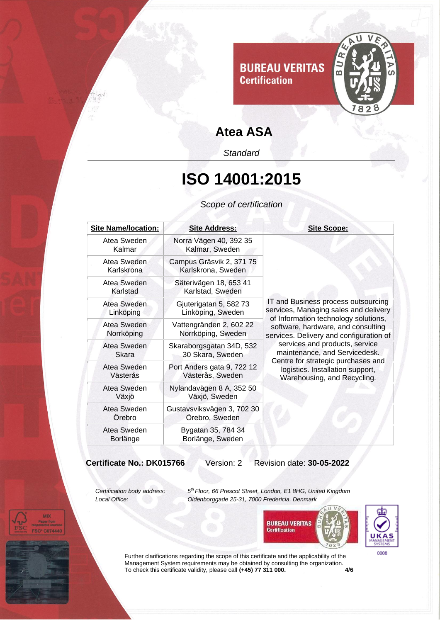

*Standard*

## **ISO 14001:2015**

*Scope of certification*

| <b>Site Scope:</b>                                                                                                                                                                                                                                                                                                                                                                |
|-----------------------------------------------------------------------------------------------------------------------------------------------------------------------------------------------------------------------------------------------------------------------------------------------------------------------------------------------------------------------------------|
| IT and Business process outsourcing<br>services, Managing sales and delivery<br>of Information technology solutions,<br>software, hardware, and consulting<br>services. Delivery and configuration of<br>services and products, service<br>maintenance, and Servicedesk.<br>Centre for strategic purchases and<br>logistics. Installation support,<br>Warehousing, and Recycling. |

**Certificate No.: DK015766** Version: 2 Revision date: **30-05-2022**

*Certification body address: 5*

**MD** 

*th Floor, 66 Prescot Street, London, E1 8HG, United Kingdom Local Office: Oldenborggade 25-31, 7000 Fredericia, Denmark*





Further clarifications regarding the scope of this certificate and the applicability of the Management System requirements may be obtained by consulting the organization. To check this certificate validity, please call **(+45) 77 311 000. 4/6**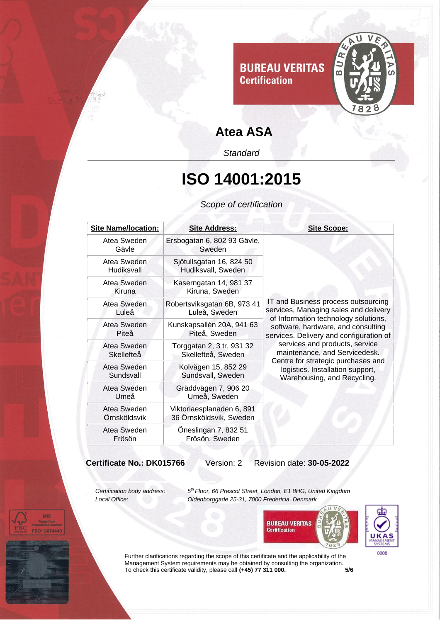

*Standard*

## **ISO 14001:2015**

*Scope of certification*

| <b>Site Name/location:</b>  | <b>Site Address:</b>                                 | <b>Site Scope:</b>                                                                                                                                                                                                                                                                                                                                                                |
|-----------------------------|------------------------------------------------------|-----------------------------------------------------------------------------------------------------------------------------------------------------------------------------------------------------------------------------------------------------------------------------------------------------------------------------------------------------------------------------------|
| Atea Sweden<br>Gävle        | Ersbogatan 6, 802 93 Gävle,<br>Sweden                | IT and Business process outsourcing<br>services, Managing sales and delivery<br>of Information technology solutions,<br>software, hardware, and consulting<br>services. Delivery and configuration of<br>services and products, service<br>maintenance, and Servicedesk.<br>Centre for strategic purchases and<br>logistics. Installation support,<br>Warehousing, and Recycling. |
| Atea Sweden<br>Hudiksvall   | Sjötullsgatan 16, 824 50<br>Hudiksvall, Sweden       |                                                                                                                                                                                                                                                                                                                                                                                   |
| Atea Sweden<br>Kiruna       | Kaserngatan 14, 981 37<br>Kiruna, Sweden             |                                                                                                                                                                                                                                                                                                                                                                                   |
| Atea Sweden<br>Luleå        | Robertsviksgatan 6B, 973 41<br>Luleå, Sweden         |                                                                                                                                                                                                                                                                                                                                                                                   |
| Atea Sweden<br>Piteå        | Kunskapsallén 20A, 941 63<br>Piteå, Sweden           |                                                                                                                                                                                                                                                                                                                                                                                   |
| Atea Sweden<br>Skellefteå   | Torggatan 2, 3 tr, 931 32<br>Skellefteå, Sweden      |                                                                                                                                                                                                                                                                                                                                                                                   |
| Atea Sweden<br>Sundsvall    | Kolvägen 15, 852 29<br>Sundsvall, Sweden             |                                                                                                                                                                                                                                                                                                                                                                                   |
| Atea Sweden<br>Umeå         | Gräddvägen 7, 906 20<br>Umeå, Sweden                 |                                                                                                                                                                                                                                                                                                                                                                                   |
| Atea Sweden<br>Örnsköldsvik | Viktoriaesplanaden 6, 891<br>36 Örnsköldsvik, Sweden |                                                                                                                                                                                                                                                                                                                                                                                   |
| Atea Sweden<br>Frösön       | Öneslingan 7, 832 51<br>Frösön, Sweden               |                                                                                                                                                                                                                                                                                                                                                                                   |

**Certificate No.: DK015766** Version: 2 Revision date: **30-05-2022**

*Certification body address: 5*

**MD** 

*th Floor, 66 Prescot Street, London, E1 8HG, United Kingdom Local Office: Oldenborggade 25-31, 7000 Fredericia, Denmark*





Further clarifications regarding the scope of this certificate and the applicability of the Management System requirements may be obtained by consulting the organization. To check this certificate validity, please call **(+45) 77 311 000. 5/6**